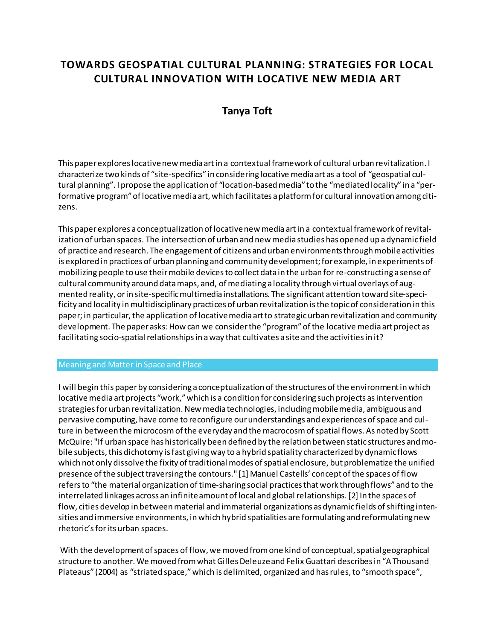# **TOWARDS GEOSPATIAL CULTURAL PLANNING: STRATEGIES FOR LOCAL CULTURAL INNOVATION WITH LOCATIVE NEW MEDIA ART**

## **Tanya Toft**

This paper explores locative new media art in a contextual framework of cultural urban revitalization. I characterize two kinds of "site-specifics" in considering locative media art as a tool of "geospatial cultural planning". I propose the application of "location-based media" to the "mediated locality" in a "performative program" of locative media art, which facilitates a platform for cultural innovation among citizens.

This paper explores a conceptualization of locative new media art in a contextual framework of revitalization of urban spaces. The intersection of urban and new media studies has opened up a dynamic field of practice and research. The engagement of citizens and urban environments through mobile activities is explored in practices of urban planning and community development; for example, in experiments of mobilizing people to use their mobile devices to collect data in the urban for re-constructing a sense of cultural community around data maps, and, of mediating a locality through virtual overlays of augmented reality, or in site-specific multimedia installations. The significant attention toward site-specificity and locality in multidisciplinary practices of urban revitalization is the topic of consideration in this paper; in particular, the application of locative media art to strategic urban revitalization and community development. The paper asks: How can we consider the "program" of the locative media art project as facilitating socio-spatial relationships in a way that cultivates a site and the activities in it?

## Meaning and Matter in Space and Place

I will begin this paper by considering a conceptualization of the structures of the environment in which locative media art projects "work," which is a condition for considering such projects as intervention strategies for urban revitalization. New media technologies, including mobile media, ambiguous and pervasive computing, have come to reconfigure our understandings and experiences of space and culture in between the microcosm of the everyday and the macrocosm of spatial flows. As noted by Scott McQuire: "If urban space has historically been defined by the relation between static structures and mobile subjects, this dichotomy is fast giving way to a hybrid spatiality characterized by dynamic flows which not only dissolve the fixity of traditional modes of spatial enclosure, but problematize the unified presence of the subject traversing the contours." [1] Manuel Castells' concept of the spaces of flow refers to "the material organization of time-sharing social practices that work through flows" and to the interrelated linkages across an infinite amount of local and global relationships. [2] In the spaces of flow, cities develop in between material and immaterial organizations as dynamic fields of shifting intensities and immersive environments, in which hybrid spatialities are formulating and reformulating new rhetoric's for its urban spaces.

With the development of spaces of flow, we moved from one kind of conceptual, spatial geographical structure to another. We moved from what Gilles Deleuze and Felix Guattari describes in "A Thousand Plateaus" (2004) as "striated space," which is delimited, organized and has rules, to "smooth space",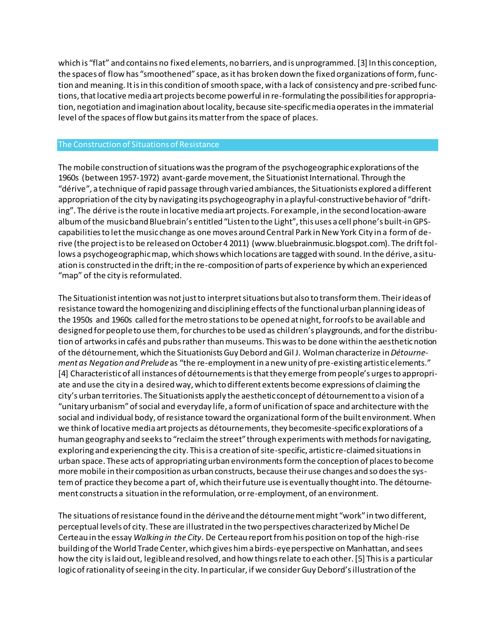which is "flat" and contains no fixed elements, no barriers, and is unprogrammed. [3] In this conception, the spaces of flow has "smoothened" space, as it has broken down the fixed organizations of form, function and meaning. It is in this condition of smooth space, with a lack of consistency and pre-scribed functions, that locative media art projects become powerful in re-formulating the possibilities for appropriation, negotiation and imagination about locality, because site-specific media operates in the immaterial level of the spaces of flow but gains its matter from the space of places.

## The Construction of Situations of Resistance

The mobile construction of situations was the program of the psychogeographic explorations of the 1960s (between 1957-1972) avant-garde movement, the Situationist International. Through the "dérive", a technique of rapid passage through varied ambiances, the Situationists explored a different appropriation of the city by navigating its psychogeography in a playful-constructive behavior of "drifting". The dérive is the route in locative media art projects. For example, in the second location-aware album of the music band Bluebrain's entitled "Listen to the Light", this uses a cell phone's built-in GPScapabilities to let the music change as one moves around Central Park in New York City in a form of derive (the project is to be released on October 4 2011) (www.bluebrainmusic.blogspot.com). The drift follows a psychogeographic map, which shows which locations are tagged with sound. In the dérive, a situation is constructed in the drift; in the re-composition of parts of experience by which an experienced "map" of the city is reformulated.

The Situationist intention was not just to interpret situations but also to transform them. Their ideas of resistance toward the homogenizing and disciplining effects of the functionalurban planning ideas of the 1950s and 1960s called for the metro stations to be opened at night, for roofs to be available and designed for people to use them, for churches to be used as children's playgrounds, and for the distribution of artworks in cafés and pubs rather than museums. This was to be done within the aesthetic notion of the détournement, which the Situationists Guy Debord and Gil J. Wolman characterize in*Détournement as Negation and Prelude* as "the re-employment in a new unity of pre-existing artistic elements." [4] Characteristic of all instances of détournements is that they emerge from people's urges to appropriate and use the city in a desired way, which to different extents become expressions of claiming the city's urban territories. The Situationists apply the aesthetic concept of détournement to a vision of a "unitary urbanism" of social and everyday life, a form of unification of space and architecture with the social and individual body, of resistance toward the organizational form of the built environment. When we think of locative media art projects as détournements, they becomesite-specific explorations of a human geography and seeks to "reclaim the street" through experiments with methods for navigating, exploring and experiencing the city. This is a creation of site-specific, artistic re-claimed situations in urban space. These acts of appropriating urban environments form the conception of places to become more mobile in their composition as urban constructs, because their use changes and so does the system of practice they become a part of, which their future use is eventually thought into. The détournement constructs a situation in the reformulation, or re-employment, of an environment.

The situations of resistance found in the dérive and the détournement might "work" in two different, perceptual levels of city. These are illustrated in the two perspectives characterized by Michel De Certeau in the essay *Walking in the City*. De Certeau report from his position on top of the high-rise building of the World Trade Center, which gives him a birds-eye perspective on Manhattan, and sees how the city is laid out, legible and resolved, and how things relate to each other. [5] This is a particular logic of rationality of seeing in the city. In particular, if we consider Guy Debord's illustration of the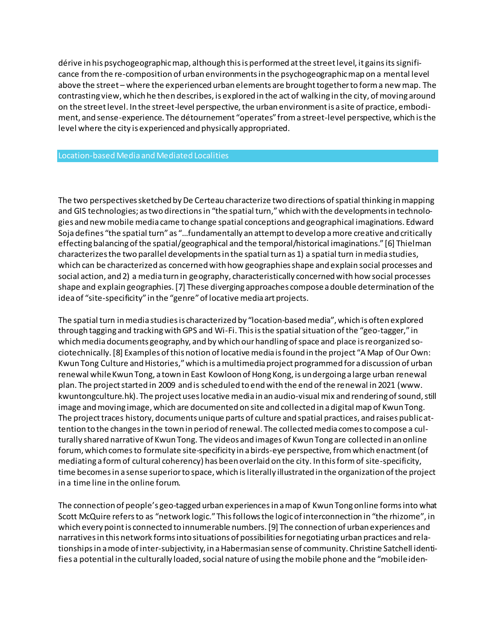dérive in his psychogeographic map, although this is performed at the street level, it gains its significance from the re-composition of urban environments in the psychogeographic map on a mental level above the street – where the experienced urban elements are brought together to form a new map. The contrasting view, which he then describes, is explored in the act of walking in the city, of moving around on the street level. In the street-level perspective, the urban environment is a site of practice, embodiment, and sense-experience. The détournement "operates" from a street-level perspective, which is the level where the city is experienced and physically appropriated.

#### Location-based Media and Mediated Localities

The two perspectives sketched by De Certeau characterize two directions of spatial thinking in mapping and GIS technologies; as two directions in "the spatial turn," which with the developments in technologies and new mobile media came to change spatial conceptions and geographical imaginations. Edward Soja defines "the spatial turn" as "…fundamentally an attempt to develop a more creative and critically effecting balancing of the spatial/geographical and the temporal/historical imaginations." [6] Thielman characterizes the two parallel developments in the spatial turn as 1) a spatial turn in media studies, which can be characterized as concerned with how geographies shape and explain social processes and social action, and 2) a media turn in geography, characteristically concerned with how social processes shape and explain geographies. [7] These diverging approaches compose a double determination of the idea of "site-specificity" in the "genre" of locative media art projects.

The spatial turn in media studies is characterized by "location-based media", which is often explored through tagging and tracking with GPS and Wi-Fi. This is the spatial situation of the "geo-tagger," in which media documents geography, and by which our handling of space and place is reorganized sociotechnically. [8] Examples of this notion of locative media is found in the project "A Map of Our Own: Kwun Tong Culture and Histories," which is a multimedia project programmed for a discussion of urban renewal while Kwun Tong, a town in East Kowloon of Hong Kong, is undergoing a large urban renewal plan. The project started in 2009 and is scheduled to end with the end of the renewal in 2021 (www. kwuntongculture.hk). The project uses locative media in an audio-visual mix and rendering of sound, still image and moving image, which are documented on site and collected in a digital map of Kwun Tong. The project traces history, documents unique parts of culture and spatial practices, and raises public attention to the changes in the town in period of renewal. The collected media comes to compose a culturally shared narrative of Kwun Tong. The videos and images of Kwun Tong are collected in an online forum, which comes to formulate site-specificity in a birds-eye perspective, from which enactment (of mediating a form of cultural coherency) has been overlaid on the city. In this form of site-specificity, time becomes in a sense superior to space, which is literally illustrated in the organization of the project in a time line in the online forum.

The connection of people's geo-tagged urban experiences in a map of Kwun Tong online forms into what Scott McQuire refers to as "network logic." This follows the logic of interconnection in "the rhizome", in which every point is connected to innumerable numbers. [9] The connection of urban experiences and narratives in this network forms into situations of possibilities for negotiating urban practices and relationships in a mode of inter-subjectivity, in a Habermasian sense of community. Christine Satchell identifies a potential in the culturally loaded, social nature of using the mobile phone and the "mobile iden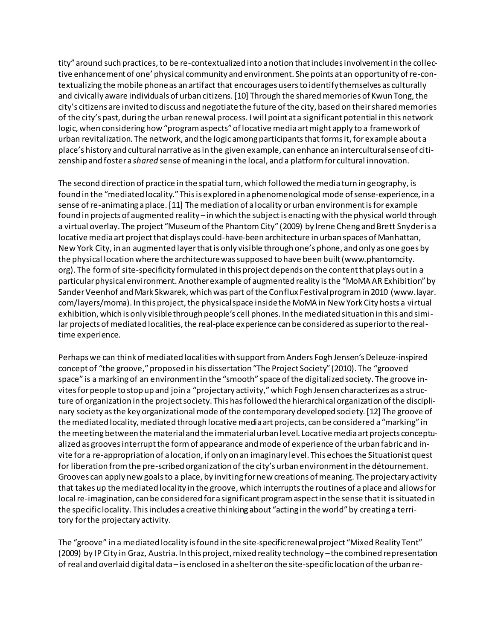tity" around such practices, to be re-contextualized into a notion that includes involvement in the collective enhancement of one' physical community and environment. She points at an opportunity of re-contextualizing the mobile phone as an artifact that encourages users to identify themselves as culturally and civically aware individuals of urban citizens. [10] Through the shared memories of Kwun Tong, the city's citizens are invited to discuss and negotiate the future of the city, based on their shared memories of the city's past, during the urban renewal process. I will point at a significant potential in this network logic, when considering how "program aspects" of locative media art might apply to a framework of urban revitalization. The network, and the logic among participants that forms it, for example about a place's history and cultural narrative as in the given example, can enhance an intercultural sense of citizenship and foster a *shared* sense of meaning in the local, and a platform for cultural innovation.

The second direction of practice in the spatial turn, which followed the media turn in geography, is found in the "mediated locality." This is explored in a phenomenological mode of sense-experience, in a sense of re-animating a place. [11] The mediation of a locality or urban environment is for example found in projects of augmented reality –in which the subject is enacting with the physical world through a virtual overlay. The project "Museum of the Phantom City" (2009) by Irene Cheng and Brett Snyder is a locative media art project that displays could-have-been architecture in urban spaces of Manhattan, New York City, in an augmented layer that is only visible through one's phone, and only as one goes by the physical location where the architecture was supposed to have been built (www.phantomcity. org). The form of site-specificity formulated in this project depends on the content that plays out in a particular physical environment. Another example of augmented reality is the "MoMA AR Exhibition" by Sander Veenhof and Mark Skwarek, which was part of the Conflux Festival program in 2010 (www.layar. com/layers/moma). In this project, the physical space inside the MoMA in New York City hosts a virtual exhibition, which is only visible through people's cell phones. In the mediated situation in this and similar projects of mediated localities, the real-place experience can be considered as superior to the realtime experience.

Perhaps we can think of mediated localities with support from Anders Fogh Jensen's Deleuze-inspired concept of "the groove," proposed in his dissertation "The Project Society" (2010). The "grooved space" is a marking of an environment in the "smooth" space of the digitalized society. The groove invites for people to stop up and join a "projectary activity," which Fogh Jensen characterizes as a structure of organization in the project society. This has followed the hierarchical organization of the disciplinary society as the key organizational mode of the contemporary developed society. [12] The groove of the mediated locality, mediated through locative media art projects, can be considered a "marking" in the meeting between the material and the immaterial urban level. Locative media art projects conceptualized as grooves interrupt the form of appearance and mode of experience of the urban fabric and invite for a re-appropriation of a location, if only on an imaginary level. This echoes the Situationist quest for liberation from the pre-scribed organization of the city's urban environment in the détournement. Grooves can apply new goals to a place, by inviting for new creations of meaning. The projectary activity that takes up the mediated locality in the groove, which interrupts the routines of a place and allows for local re-imagination, can be considered for a significant program aspect in the sense that it is situated in the specific locality. This includes a creative thinking about "acting in the world" by creating a territory for the projectary activity.

The "groove" in a mediated locality is found in the site-specific renewal project "Mixed Reality Tent" (2009) by IP City in Graz, Austria. In this project, mixed reality technology –the combined representation of real and overlaid digital data – is enclosed in a shelter on the site-specific location of the urban re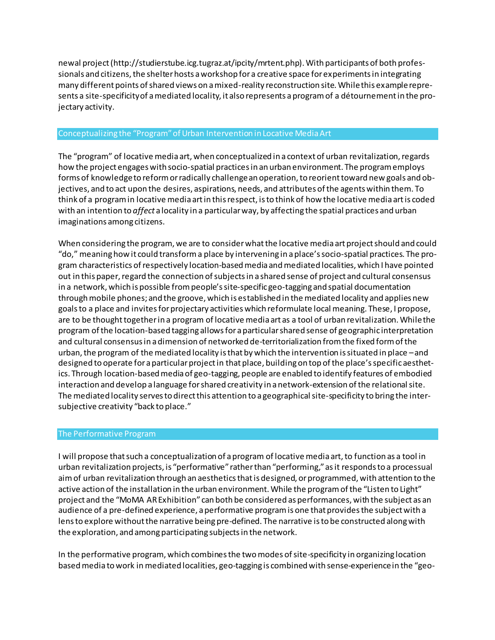newal project (http://studierstube.icg.tugraz.at/ipcity/mrtent.php). With participants of both professionals and citizens, the shelter hosts a workshop for a creative space for experiments in integrating many different points of shared views on a mixed-reality reconstruction site. While this example represents a site-specificity of a mediated locality, it also represents aprogram of a détournement in the projectary activity.

### Conceptualizing the "Program" of Urban Intervention in Locative Media Art

The "program" of locative media art, when conceptualized in a context of urban revitalization, regards how the project engages with socio-spatial practices in an urban environment. The program employs forms of knowledge to reform or radically challenge an operation, to reorient toward new goals and objectives, and to act upon the desires, aspirations, needs, and attributes of the agents within them. To think of a program in locative media art in this respect, is to think of how the locative media art is coded with an intention to *affect* a locality in a particular way, by affecting the spatial practices and urban imaginations among citizens.

When considering the program, we are to consider what the locative media art project should and could "do," meaning how it could transform a place by intervening in a place's socio-spatial practices. The program characteristics of respectively location-based media and mediated localities, which I have pointed out in this paper, regard the connection of subjects in a shared sense of project and cultural consensus in a network, which is possible from people's site-specific geo-tagging and spatial documentation through mobile phones; and the groove, which is established in the mediated locality and applies new goals to a place and invites for projectary activities which reformulate local meaning. These, I propose, are to be thought together in a program of locative media art as a tool of urban revitalization. While the program of the location-based tagging allows for a particular shared sense of geographic interpretation and cultural consensus in a dimension of networked de-territorialization from the fixed form of the urban, the program of the mediated locality is that by which the intervention is situated in place –and designed to operate for a particular project in that place, building on top of the place's specific aesthetics. Through location-based media of geo-tagging, people are enabled to identify features of embodied interaction and develop a language for shared creativity in a network-extension of the relational site. The mediated locality serves to direct this attention to a geographical site-specificity to bring the intersubjective creativity "back to place."

## The Performative Program

I will propose that such a conceptualization of a program of locative media art, to function as a tool in urban revitalization projects, is "performative" rather than "performing," as it responds to a processual aim of urban revitalization through an aesthetics that is designed, or programmed, with attention to the active action of the installation in the urban environment. While the program of the "Listen to Light" project and the "MoMA AR Exhibition" can both be considered as performances, with the subject as an audience of a pre-defined experience, a performative program is one that provides the subject with a lens to explore without the narrative being pre-defined. The narrative is to be constructed along with the exploration, and among participating subjects in the network.

In the performative program, which combines the two modes of site-specificity in organizing location based media to work in mediated localities, geo-tagging is combined with sense-experience in the "geo